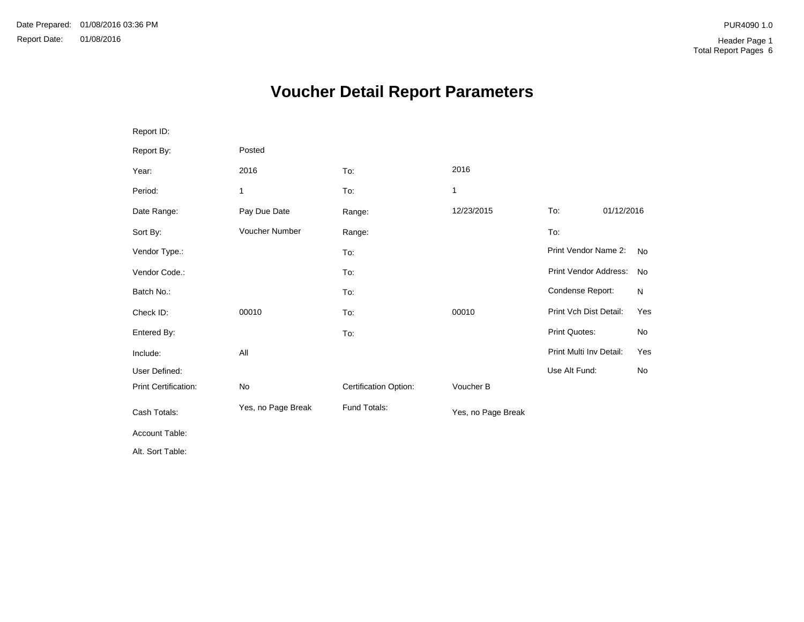# **Voucher Detail Report Parameters**

| Report ID:                  |                    |                       |                    |                         |            |           |
|-----------------------------|--------------------|-----------------------|--------------------|-------------------------|------------|-----------|
| Report By:                  | Posted             |                       |                    |                         |            |           |
| Year:                       | 2016               | To:                   | 2016               |                         |            |           |
| Period:                     | 1                  | To:                   | 1                  |                         |            |           |
| Date Range:                 | Pay Due Date       | Range:                | 12/23/2015         | To:                     | 01/12/2016 |           |
| Sort By:                    | Voucher Number     | Range:                |                    | To:                     |            |           |
| Vendor Type.:               |                    | To:                   |                    | Print Vendor Name 2:    |            | <b>No</b> |
| Vendor Code.:               |                    | To:                   |                    | Print Vendor Address:   |            | No        |
| Batch No.:                  |                    | To:                   |                    | Condense Report:        |            | N         |
| Check ID:                   | 00010              | To:                   | 00010              | Print Vch Dist Detail:  |            | Yes       |
| Entered By:                 |                    | To:                   |                    | <b>Print Quotes:</b>    |            | No        |
| Include:                    | All                |                       |                    | Print Multi Inv Detail: |            | Yes       |
| User Defined:               |                    |                       |                    | Use Alt Fund:           |            | No        |
| <b>Print Certification:</b> | No                 | Certification Option: | Voucher B          |                         |            |           |
| Cash Totals:                | Yes, no Page Break | Fund Totals:          | Yes, no Page Break |                         |            |           |
| Account Table:              |                    |                       |                    |                         |            |           |
| Alt. Sort Table:            |                    |                       |                    |                         |            |           |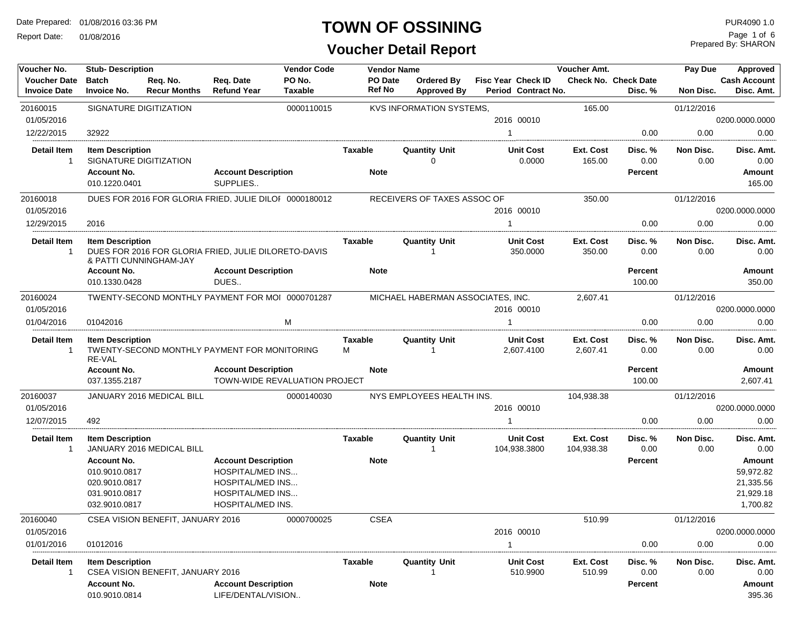Report Date: 01/08/2016

#### **TOWN OF OSSINING**

**Voucher Detail Report**

| Voucher No.                                | <b>Stub-Description</b>                                                                |                                   |                                                                                                                                  | <b>Vendor Code</b>            | <b>Vendor Name</b>            |                                   |    |                                                  | Voucher Amt.            |                                        | Pay Due           | Approved                                                  |
|--------------------------------------------|----------------------------------------------------------------------------------------|-----------------------------------|----------------------------------------------------------------------------------------------------------------------------------|-------------------------------|-------------------------------|-----------------------------------|----|--------------------------------------------------|-------------------------|----------------------------------------|-------------------|-----------------------------------------------------------|
| <b>Voucher Date</b><br><b>Invoice Date</b> | <b>Batch</b><br><b>Invoice No.</b>                                                     | Req. No.<br><b>Recur Months</b>   | Req. Date<br><b>Refund Year</b>                                                                                                  | PO No.<br><b>Taxable</b>      | PO Date<br><b>Ref No</b>      | Ordered By<br><b>Approved By</b>  |    | <b>Fisc Year Check ID</b><br>Period Contract No. |                         | <b>Check No. Check Date</b><br>Disc. % | Non Disc.         | <b>Cash Account</b><br>Disc. Amt.                         |
| 20160015                                   |                                                                                        | SIGNATURE DIGITIZATION            |                                                                                                                                  | 0000110015                    |                               | <b>KVS INFORMATION SYSTEMS,</b>   |    |                                                  | 165.00                  |                                        | 01/12/2016        |                                                           |
| 01/05/2016                                 |                                                                                        |                                   |                                                                                                                                  |                               |                               |                                   |    | 2016 00010                                       |                         |                                        |                   | 0200.0000.0000                                            |
| 12/22/2015                                 | 32922                                                                                  |                                   |                                                                                                                                  |                               |                               |                                   |    |                                                  |                         | 0.00                                   | 0.00              | 0.00                                                      |
| <b>Detail Item</b><br>1                    | <b>Item Description</b>                                                                | SIGNATURE DIGITIZATION            |                                                                                                                                  |                               | Taxable                       | <b>Quantity Unit</b><br>$\Omega$  |    | <b>Unit Cost</b><br>0.0000                       | Ext. Cost<br>165.00     | Disc. %<br>0.00                        | Non Disc.<br>0.00 | Disc. Amt.<br>0.00                                        |
|                                            | <b>Account No.</b><br>010.1220.0401                                                    |                                   | <b>Account Description</b><br>SUPPLIES                                                                                           |                               | <b>Note</b>                   |                                   |    |                                                  |                         | <b>Percent</b>                         |                   | Amount<br>165.00                                          |
| 20160018                                   |                                                                                        |                                   | DUES FOR 2016 FOR GLORIA FRIED, JULIE DILOF 0000180012                                                                           |                               |                               | RECEIVERS OF TAXES ASSOC OF       |    |                                                  | 350.00                  |                                        | 01/12/2016        |                                                           |
| 01/05/2016                                 |                                                                                        |                                   |                                                                                                                                  |                               |                               |                                   |    | 2016 00010                                       |                         |                                        |                   | 0200.0000.0000                                            |
| 12/29/2015                                 | 2016                                                                                   |                                   |                                                                                                                                  |                               |                               |                                   | -1 |                                                  |                         | 0.00                                   | 0.00              | 0.00                                                      |
| <b>Detail Item</b><br>-1                   | <b>Item Description</b>                                                                | & PATTI CUNNINGHAM-JAY            | DUES FOR 2016 FOR GLORIA FRIED, JULIE DILORETO-DAVIS                                                                             |                               | Taxable                       | <b>Quantity Unit</b>              |    | <b>Unit Cost</b><br>350.0000                     | Ext. Cost<br>350.00     | Disc. %<br>0.00                        | Non Disc.<br>0.00 | Disc. Amt.<br>0.00                                        |
|                                            | <b>Account No.</b><br>010.1330.0428                                                    |                                   | <b>Account Description</b><br>DUES                                                                                               |                               | <b>Note</b>                   |                                   |    |                                                  |                         | Percent<br>100.00                      |                   | Amount<br>350.00                                          |
| 20160024                                   |                                                                                        |                                   |                                                                                                                                  |                               |                               | MICHAEL HABERMAN ASSOCIATES, INC. |    |                                                  | 2,607.41                |                                        | 01/12/2016        |                                                           |
| 01/05/2016                                 | TWENTY-SECOND MONTHLY PAYMENT FOR MOI 0000701287                                       |                                   |                                                                                                                                  |                               |                               |                                   |    | 2016 00010                                       |                         |                                        |                   | 0200.0000.0000                                            |
| 01/04/2016                                 | 01042016                                                                               |                                   |                                                                                                                                  | M                             |                               |                                   |    |                                                  |                         | 0.00                                   | 0.00              | 0.00                                                      |
| <b>Detail Item</b><br>-1                   | <b>Item Description</b><br>RE-VAL                                                      |                                   | TWENTY-SECOND MONTHLY PAYMENT FOR MONITORING                                                                                     |                               | Taxable<br>м                  | <b>Quantity Unit</b>              |    | <b>Unit Cost</b><br>2,607.4100                   | Ext. Cost<br>2,607.41   | Disc. %<br>0.00                        | Non Disc.<br>0.00 | Disc. Amt.<br>0.00                                        |
|                                            | <b>Account No.</b>                                                                     |                                   | <b>Account Description</b>                                                                                                       |                               | <b>Note</b>                   |                                   |    |                                                  |                         | Percent                                |                   | Amount                                                    |
|                                            | 037.1355.2187                                                                          |                                   |                                                                                                                                  | TOWN-WIDE REVALUATION PROJECT |                               |                                   |    |                                                  |                         | 100.00                                 |                   | 2,607.41                                                  |
| 20160037                                   |                                                                                        | JANUARY 2016 MEDICAL BILL         |                                                                                                                                  | 0000140030                    |                               | NYS EMPLOYEES HEALTH INS.         |    |                                                  | 104,938.38              |                                        | 01/12/2016        |                                                           |
| 01/05/2016                                 |                                                                                        |                                   |                                                                                                                                  |                               |                               |                                   |    | 2016 00010                                       |                         |                                        |                   | 0200.0000.0000                                            |
| 12/07/2015                                 | 492                                                                                    |                                   |                                                                                                                                  |                               |                               |                                   |    |                                                  |                         | 0.00                                   | 0.00              | 0.00                                                      |
| Detail Item<br>-1                          | <b>Item Description</b>                                                                | JANUARY 2016 MEDICAL BILL         |                                                                                                                                  |                               | Taxable                       | <b>Quantity Unit</b>              |    | <b>Unit Cost</b><br>104,938.3800                 | Ext. Cost<br>104,938.38 | Disc. %<br>0.00                        | Non Disc.<br>0.00 | Disc. Amt.<br>0.00                                        |
|                                            | <b>Account No.</b><br>010.9010.0817<br>020.9010.0817<br>031.9010.0817<br>032.9010.0817 |                                   | <b>Account Description</b><br><b>HOSPITAL/MED INS</b><br><b>HOSPITAL/MED INS</b><br><b>HOSPITAL/MED INS</b><br>HOSPITAL/MED INS. |                               | <b>Note</b>                   |                                   |    |                                                  |                         | Percent                                |                   | Amount<br>59,972.82<br>21,335.56<br>21,929.18<br>1,700.82 |
| 20160040                                   |                                                                                        | CSEA VISION BENEFIT, JANUARY 2016 |                                                                                                                                  | 0000700025                    | <b>CSEA</b>                   |                                   |    |                                                  | 510.99                  |                                        | 01/12/2016        |                                                           |
| 01/05/2016                                 |                                                                                        |                                   |                                                                                                                                  |                               |                               |                                   |    | 2016 00010                                       |                         |                                        |                   | 0200.0000.0000                                            |
| 01/01/2016                                 | 01012016                                                                               |                                   |                                                                                                                                  |                               |                               |                                   | -1 |                                                  |                         | 0.00                                   | 0.00              | 0.00                                                      |
| Detail Item<br>1                           | <b>Item Description</b><br><b>Account No.</b>                                          | CSEA VISION BENEFIT, JANUARY 2016 | <b>Account Description</b>                                                                                                       |                               | <b>Taxable</b><br><b>Note</b> | <b>Quantity Unit</b>              |    | <b>Unit Cost</b><br>510.9900                     | Ext. Cost<br>510.99     | Disc. %<br>0.00<br>Percent             | Non Disc.<br>0.00 | Disc. Amt.<br>0.00<br>Amount                              |
|                                            | 010.9010.0814                                                                          |                                   | LIFE/DENTAL/VISION                                                                                                               |                               |                               |                                   |    |                                                  |                         |                                        |                   | 395.36                                                    |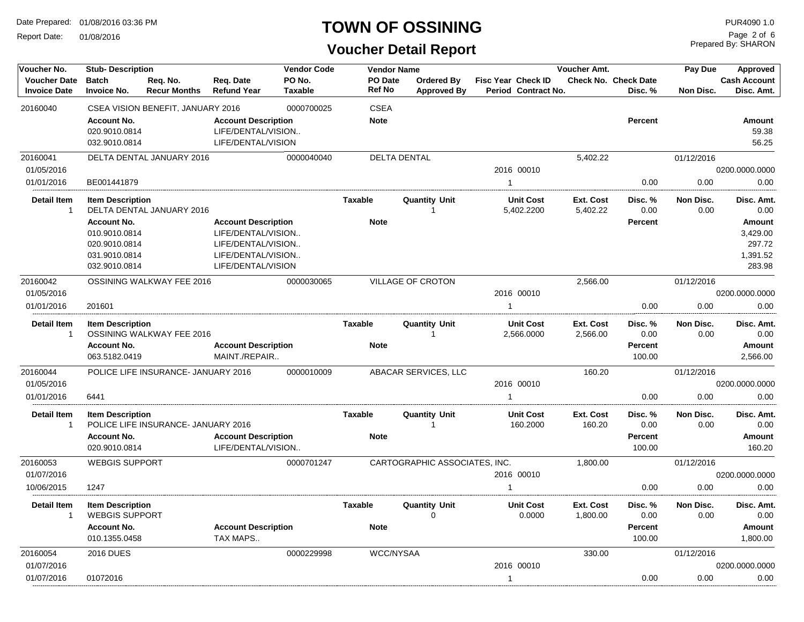Report Date: 01/08/2016

#### **TOWN OF OSSINING**

**Voucher Detail Report**

| Voucher No.                                | <b>Stub-Description</b>                                                                 |                                     |                                                                                                                    | <b>Vendor Code</b>       |                          | <b>Vendor Name</b>                      |                                           | Voucher Amt.                 |                                             | Pay Due           | Approved                                           |
|--------------------------------------------|-----------------------------------------------------------------------------------------|-------------------------------------|--------------------------------------------------------------------------------------------------------------------|--------------------------|--------------------------|-----------------------------------------|-------------------------------------------|------------------------------|---------------------------------------------|-------------------|----------------------------------------------------|
| <b>Voucher Date</b><br><b>Invoice Date</b> | <b>Batch</b><br><b>Invoice No.</b>                                                      | Req. No.<br><b>Recur Months</b>     | Req. Date<br><b>Refund Year</b>                                                                                    | PO No.<br><b>Taxable</b> | PO Date<br><b>Ref No</b> | <b>Ordered By</b><br><b>Approved By</b> | Fisc Year Check ID<br>Period Contract No. |                              | <b>Check No. Check Date</b><br>Disc. %      | Non Disc.         | <b>Cash Account</b><br>Disc. Amt.                  |
| 20160040                                   |                                                                                         | CSEA VISION BENEFIT, JANUARY 2016   |                                                                                                                    | 0000700025               | <b>CSEA</b>              |                                         |                                           |                              |                                             |                   |                                                    |
|                                            | <b>Account No.</b><br>020.9010.0814<br>032.9010.0814                                    |                                     | <b>Account Description</b><br>LIFE/DENTAL/VISION<br>LIFE/DENTAL/VISION                                             |                          | <b>Note</b>              |                                         |                                           |                              | <b>Percent</b>                              |                   | <b>Amount</b><br>59.38<br>56.25                    |
| 20160041                                   |                                                                                         | DELTA DENTAL JANUARY 2016           |                                                                                                                    | 0000040040               |                          | <b>DELTA DENTAL</b>                     |                                           | 5,402.22                     |                                             | 01/12/2016        |                                                    |
| 01/05/2016                                 |                                                                                         |                                     |                                                                                                                    |                          |                          |                                         | 2016 00010                                |                              |                                             |                   | 0200.0000.0000                                     |
| 01/01/2016                                 | BE001441879                                                                             |                                     |                                                                                                                    |                          |                          |                                         | $\mathbf{1}$                              |                              | 0.00                                        | 0.00              | 0.00                                               |
| <b>Detail Item</b><br>$\mathbf{1}$         | <b>Item Description</b>                                                                 | DELTA DENTAL JANUARY 2016           |                                                                                                                    |                          | Taxable                  | <b>Quantity Unit</b>                    | <b>Unit Cost</b><br>5,402.2200            | Ext. Cost<br>5,402.22        | Disc. %<br>0.00                             | Non Disc.<br>0.00 | Disc. Amt.<br>0.00                                 |
|                                            | <b>Account No.</b><br>010.9010.0814<br>020.9010.0814<br>031.9010.0814<br>032.9010.0814  |                                     | <b>Account Description</b><br>LIFE/DENTAL/VISION<br>LIFE/DENTAL/VISION<br>LIFE/DENTAL/VISION<br>LIFE/DENTAL/VISION |                          | <b>Note</b>              |                                         |                                           |                              | Percent                                     |                   | Amount<br>3,429.00<br>297.72<br>1,391.52<br>283.98 |
| 20160042                                   |                                                                                         | OSSINING WALKWAY FEE 2016           |                                                                                                                    | 0000030065               |                          | <b>VILLAGE OF CROTON</b>                |                                           | 2,566.00                     |                                             | 01/12/2016        |                                                    |
| 01/05/2016                                 |                                                                                         |                                     |                                                                                                                    |                          |                          |                                         | 2016 00010                                |                              |                                             |                   | 0200.0000.0000                                     |
| 01/01/2016                                 | 201601                                                                                  |                                     |                                                                                                                    |                          |                          |                                         | $\mathbf{1}$                              |                              | 0.00                                        | 0.00              | 0.00                                               |
| <b>Detail Item</b><br>$\overline{1}$       | <b>Item Description</b>                                                                 | OSSINING WALKWAY FEE 2016           |                                                                                                                    |                          | <b>Taxable</b>           | <b>Quantity Unit</b><br>$\mathbf{1}$    | <b>Unit Cost</b><br>2,566.0000            | <b>Ext. Cost</b><br>2,566.00 | Disc.%<br>0.00                              | Non Disc.<br>0.00 | Disc. Amt.<br>0.00                                 |
|                                            | <b>Account No.</b><br>063.5182.0419                                                     |                                     | <b>Account Description</b><br>MAINT./REPAIR                                                                        |                          | <b>Note</b>              |                                         |                                           |                              | <b>Percent</b><br>100.00                    |                   | Amount<br>2,566.00                                 |
| 20160044                                   |                                                                                         | POLICE LIFE INSURANCE- JANUARY 2016 |                                                                                                                    | 0000010009               |                          | ABACAR SERVICES, LLC                    |                                           | 160.20                       |                                             | 01/12/2016        |                                                    |
| 01/05/2016                                 |                                                                                         |                                     |                                                                                                                    |                          |                          |                                         | 2016 00010                                |                              |                                             |                   | 0200.0000.0000                                     |
| 01/01/2016                                 | 6441                                                                                    |                                     |                                                                                                                    |                          |                          |                                         | $\mathbf{1}$                              |                              | 0.00                                        | 0.00              | 0.00                                               |
| <b>Detail Item</b><br>$\overline{1}$       | <b>Item Description</b>                                                                 | POLICE LIFE INSURANCE- JANUARY 2016 |                                                                                                                    |                          | Taxable                  | <b>Quantity Unit</b><br>$\mathbf{1}$    | <b>Unit Cost</b><br>160.2000              | Ext. Cost<br>160.20          | Disc. %<br>0.00                             | Non Disc.<br>0.00 | Disc. Amt.<br>0.00                                 |
|                                            | <b>Account No.</b><br>020.9010.0814                                                     |                                     | <b>Account Description</b><br>LIFE/DENTAL/VISION                                                                   |                          | <b>Note</b>              |                                         |                                           |                              | <b>Percent</b><br>100.00                    |                   | Amount<br>160.20                                   |
| 20160053                                   | <b>WEBGIS SUPPORT</b>                                                                   |                                     |                                                                                                                    | 0000701247               |                          | CARTOGRAPHIC ASSOCIATES, INC.           |                                           | 1,800.00                     |                                             | 01/12/2016        |                                                    |
| 01/07/2016                                 |                                                                                         |                                     |                                                                                                                    |                          |                          |                                         | 2016 00010                                |                              |                                             |                   | 0200.0000.0000                                     |
| 10/06/2015                                 | 1247                                                                                    |                                     |                                                                                                                    |                          |                          |                                         | $\mathbf{1}$                              |                              | 0.00                                        | 0.00              | 0.00                                               |
| <b>Detail Item</b><br>-1                   | <b>Item Description</b><br><b>WEBGIS SUPPORT</b><br><b>Account No.</b><br>010.1355.0458 |                                     | <b>Account Description</b><br>TAX MAPS                                                                             |                          | Taxable<br><b>Note</b>   | <b>Quantity Unit</b><br>$\Omega$        | <b>Unit Cost</b><br>0.0000                | Ext. Cost<br>1,800.00        | Disc. %<br>0.00<br><b>Percent</b><br>100.00 | Non Disc.<br>0.00 | Disc. Amt.<br>0.00<br>Amount<br>1,800.00           |
| 20160054                                   | <b>2016 DUES</b>                                                                        |                                     |                                                                                                                    | 0000229998               |                          | WCC/NYSAA                               |                                           | 330.00                       |                                             | 01/12/2016        |                                                    |
| 01/07/2016                                 |                                                                                         |                                     |                                                                                                                    |                          |                          |                                         | 2016 00010                                |                              |                                             |                   | 0200.0000.0000                                     |
| 01/07/2016                                 | 01072016                                                                                |                                     |                                                                                                                    |                          |                          |                                         | 1                                         |                              | 0.00                                        | 0.00              | 0.00                                               |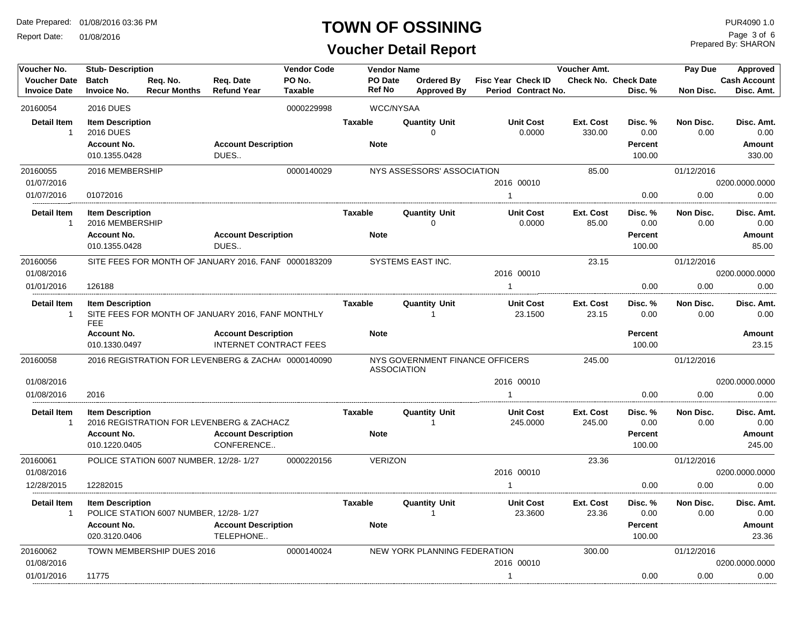Report Date: 01/08/2016

#### **TOWN OF OSSINING**

## **Voucher Detail Report**

Prepared By: SHARON Page 3 of 6

| Voucher No.                                | <b>Stub-Description</b>                                                            |                                                      |                                                             | <b>Vendor Code</b>       |                               | <b>Vendor Name</b>                   |                                           | Voucher Amt.              |                                             | Pay Due           |                                        |  |
|--------------------------------------------|------------------------------------------------------------------------------------|------------------------------------------------------|-------------------------------------------------------------|--------------------------|-------------------------------|--------------------------------------|-------------------------------------------|---------------------------|---------------------------------------------|-------------------|----------------------------------------|--|
| <b>Voucher Date</b><br><b>Invoice Date</b> | <b>Batch</b><br><b>Invoice No.</b>                                                 | Reg. No.<br><b>Recur Months</b>                      | Req. Date<br><b>Refund Year</b>                             | PO No.<br><b>Taxable</b> | PO Date<br><b>Ref No</b>      | Ordered By<br><b>Approved By</b>     | Fisc Year Check ID<br>Period Contract No. |                           | <b>Check No. Check Date</b><br>Disc. %      | Non Disc.         | <b>Cash Account</b><br>Disc. Amt.      |  |
| 20160054                                   | <b>2016 DUES</b>                                                                   |                                                      |                                                             | 0000229998               |                               | <b>WCC/NYSAA</b>                     |                                           |                           |                                             |                   |                                        |  |
| <b>Detail Item</b><br>$\mathbf{1}$         | <b>Item Description</b><br><b>2016 DUES</b><br><b>Account No.</b><br>010.1355.0428 |                                                      | <b>Account Description</b><br>DUES                          |                          | <b>Taxable</b><br><b>Note</b> | <b>Quantity Unit</b><br>$\Omega$     | <b>Unit Cost</b><br>0.0000                | Ext. Cost<br>330.00       | Disc. %<br>0.00<br><b>Percent</b><br>100.00 | Non Disc.<br>0.00 | Disc. Amt.<br>0.00<br>Amount<br>330.00 |  |
| 20160055                                   | 2016 MEMBERSHIP                                                                    |                                                      |                                                             | 0000140029               |                               | NYS ASSESSORS' ASSOCIATION           |                                           | 85.00                     |                                             | 01/12/2016        |                                        |  |
| 01/07/2016                                 |                                                                                    |                                                      |                                                             |                          |                               |                                      | 2016 00010                                |                           |                                             |                   | 0200.0000.0000                         |  |
| 01/07/2016                                 | 01072016                                                                           |                                                      |                                                             |                          |                               |                                      | $\mathbf{1}$                              |                           | 0.00                                        | 0.00              | 0.00                                   |  |
| <b>Detail Item</b><br>$\mathbf{1}$         | <b>Item Description</b><br>2016 MEMBERSHIP                                         |                                                      |                                                             |                          | <b>Taxable</b>                | <b>Quantity Unit</b><br>$\mathbf 0$  | <b>Unit Cost</b><br>0.0000                | Ext. Cost<br>85.00        | Disc.%<br>0.00                              | Non Disc.<br>0.00 | Disc. Amt.<br>0.00                     |  |
|                                            | <b>Account No.</b><br>010.1355.0428                                                |                                                      | <b>Account Description</b><br>DUES                          |                          | <b>Note</b>                   |                                      |                                           |                           | <b>Percent</b><br>100.00                    |                   | Amount<br>85.00                        |  |
| 20160056<br>01/08/2016                     |                                                                                    | SITE FEES FOR MONTH OF JANUARY 2016, FANF 0000183209 |                                                             |                          |                               | SYSTEMS EAST INC.                    | 2016 00010                                | 23.15                     |                                             | 01/12/2016        | 0200.0000.0000                         |  |
| 01/01/2016                                 | 126188                                                                             |                                                      |                                                             |                          |                               |                                      | $\mathbf{1}$                              |                           | 0.00                                        | 0.00              | 0.00                                   |  |
| <b>Detail Item</b><br>$\mathbf{1}$         | <b>Item Description</b><br><b>FEE</b>                                              | SITE FEES FOR MONTH OF JANUARY 2016, FANF MONTHLY    |                                                             |                          | <b>Taxable</b>                | <b>Quantity Unit</b><br>$\mathbf{1}$ | <b>Unit Cost</b><br>23.1500               | <b>Ext. Cost</b><br>23.15 | Disc. %<br>0.00                             | Non Disc.<br>0.00 | Disc. Amt.<br>0.00                     |  |
|                                            | <b>Account No.</b><br>010.1330.0497                                                |                                                      | <b>Account Description</b><br><b>INTERNET CONTRACT FEES</b> |                          | <b>Note</b>                   |                                      |                                           |                           | Percent<br>100.00                           |                   | Amount<br>23.15                        |  |
| 20160058                                   |                                                                                    | 2016 REGISTRATION FOR LEVENBERG & ZACHA( 0000140090  |                                                             |                          |                               | <b>ASSOCIATION</b>                   | NYS GOVERNMENT FINANCE OFFICERS           | 245.00                    |                                             | 01/12/2016        |                                        |  |
| 01/08/2016                                 |                                                                                    |                                                      |                                                             |                          |                               |                                      | 2016 00010                                |                           |                                             |                   | 0200.0000.0000                         |  |
| 01/08/2016                                 | 2016                                                                               |                                                      |                                                             |                          |                               |                                      | $\mathbf{1}$                              |                           | 0.00                                        | 0.00              | 0.00                                   |  |
| <b>Detail Item</b><br>$\mathbf{1}$         | <b>Item Description</b>                                                            | 2016 REGISTRATION FOR LEVENBERG & ZACHACZ            |                                                             |                          | Taxable                       | <b>Quantity Unit</b><br>1            | <b>Unit Cost</b><br>245.0000              | Ext. Cost<br>245.00       | Disc. %<br>0.00                             | Non Disc.<br>0.00 | Disc. Amt.<br>0.00                     |  |
|                                            | <b>Account No.</b><br>010.1220.0405                                                |                                                      | <b>Account Description</b><br>CONFERENCE                    |                          | <b>Note</b>                   |                                      |                                           |                           | <b>Percent</b><br>100.00                    |                   | Amount<br>245.00                       |  |
| 20160061                                   |                                                                                    | POLICE STATION 6007 NUMBER, 12/28-1/27               |                                                             | 0000220156               | <b>VERIZON</b>                |                                      |                                           | 23.36                     |                                             | 01/12/2016        |                                        |  |
| 01/08/2016                                 |                                                                                    |                                                      |                                                             |                          |                               |                                      | 2016 00010                                |                           |                                             |                   | 0200.0000.0000                         |  |
| 12/28/2015                                 | 12282015                                                                           |                                                      |                                                             |                          |                               |                                      | $\mathbf{1}$                              |                           | 0.00                                        | 0.00              | 0.00                                   |  |
| <b>Detail Item</b><br>$\mathbf{1}$         | <b>Item Description</b><br><b>Account No.</b><br>020.3120.0406                     | POLICE STATION 6007 NUMBER, 12/28-1/27               | <b>Account Description</b><br>TELEPHONE                     |                          | <b>Taxable</b><br><b>Note</b> | <b>Quantity Unit</b><br>1            | <b>Unit Cost</b><br>23.3600               | Ext. Cost<br>23.36        | Disc. %<br>0.00<br><b>Percent</b><br>100.00 | Non Disc.<br>0.00 | Disc. Amt.<br>0.00<br>Amount<br>23.36  |  |
| 20160062                                   |                                                                                    | TOWN MEMBERSHIP DUES 2016                            |                                                             | 0000140024               |                               | NEW YORK PLANNING FEDERATION         |                                           | 300.00                    |                                             | 01/12/2016        |                                        |  |
| 01/08/2016                                 |                                                                                    |                                                      |                                                             |                          |                               |                                      | 2016 00010                                |                           |                                             |                   | 0200.0000.0000                         |  |
| 01/01/2016                                 | 11775                                                                              |                                                      |                                                             |                          |                               |                                      | $\mathbf{1}$                              |                           | 0.00                                        | 0.00              | 0.00                                   |  |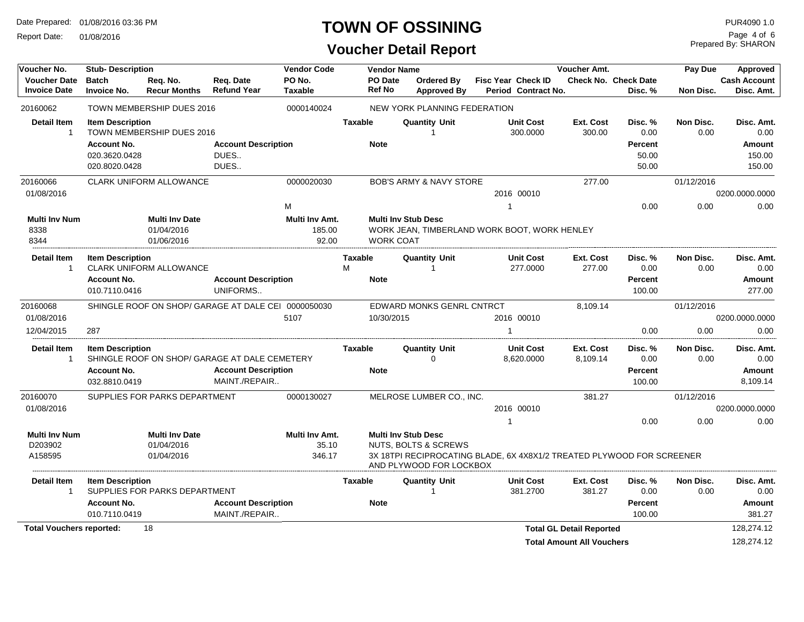Report Date: 01/08/2016

## **TOWN OF OSSINING**

#### **Voucher Detail Report**

Prepared By: SHARON Page 4 of 6

| Voucher No.                     | <b>Stub-Description</b> |                                     |                                                     | <b>Vendor Code</b>      |                | <b>Vendor Name</b> |                                    |                                                                       | Voucher Amt.                     |                             | Pay Due                         | <b>Approved</b>     |  |  |
|---------------------------------|-------------------------|-------------------------------------|-----------------------------------------------------|-------------------------|----------------|--------------------|------------------------------------|-----------------------------------------------------------------------|----------------------------------|-----------------------------|---------------------------------|---------------------|--|--|
| <b>Voucher Date</b>             | <b>Batch</b>            | Req. No.                            | Req. Date                                           | PO No.                  |                | <b>PO</b> Date     | Ordered By                         | <b>Fisc Year Check ID</b>                                             |                                  | <b>Check No. Check Date</b> |                                 | <b>Cash Account</b> |  |  |
| <b>Invoice Date</b>             | <b>Invoice No.</b>      | <b>Recur Months</b>                 | <b>Refund Year</b>                                  | <b>Taxable</b>          |                | <b>Ref No</b>      | <b>Approved By</b>                 | Period Contract No.                                                   |                                  | Disc. %                     | <b>Non Disc.</b>                | Disc. Amt.          |  |  |
| 20160062                        |                         | TOWN MEMBERSHIP DUES 2016           |                                                     | 0000140024              |                |                    | NEW YORK PLANNING FEDERATION       |                                                                       |                                  |                             |                                 |                     |  |  |
| <b>Detail Item</b>              | <b>Item Description</b> |                                     |                                                     |                         | <b>Taxable</b> |                    | <b>Quantity Unit</b>               | <b>Unit Cost</b>                                                      | Ext. Cost                        | Disc. %                     | Non Disc.                       | Disc. Amt.          |  |  |
| $\mathbf{1}$                    |                         | TOWN MEMBERSHIP DUES 2016           |                                                     |                         |                |                    | -1                                 | 300.0000                                                              | 300.00                           | 0.00                        | 0.00                            | 0.00                |  |  |
|                                 | <b>Account No.</b>      |                                     | <b>Account Description</b>                          |                         |                | <b>Note</b>        |                                    |                                                                       |                                  | Percent                     |                                 | Amount              |  |  |
|                                 | 020.3620.0428           |                                     | DUES                                                |                         |                |                    |                                    |                                                                       |                                  | 50.00                       |                                 | 150.00              |  |  |
|                                 | 020.8020.0428           |                                     | DUES                                                |                         |                |                    |                                    |                                                                       |                                  | 50.00                       |                                 | 150.00              |  |  |
| 20160066                        |                         | <b>CLARK UNIFORM ALLOWANCE</b>      |                                                     | 0000020030              |                |                    | <b>BOB'S ARMY &amp; NAVY STORE</b> |                                                                       | 277.00                           |                             | 01/12/2016                      |                     |  |  |
| 01/08/2016                      |                         |                                     |                                                     |                         |                |                    |                                    | 2016 00010                                                            |                                  |                             |                                 | 0200.0000.0000      |  |  |
|                                 |                         |                                     |                                                     | М                       |                |                    |                                    | -1                                                                    |                                  | 0.00                        | 0.00                            | 0.00                |  |  |
| <b>Multi Inv Num</b>            |                         | <b>Multi Inv Date</b>               |                                                     | Multi Inv Amt.          |                |                    | <b>Multi Inv Stub Desc</b>         |                                                                       |                                  |                             |                                 |                     |  |  |
| 8338                            |                         | 01/04/2016                          |                                                     | 185.00                  |                |                    |                                    | WORK JEAN, TIMBERLAND WORK BOOT, WORK HENLEY                          |                                  |                             |                                 |                     |  |  |
| 8344                            |                         | 01/06/2016                          |                                                     | 92.00                   |                | <b>WORK COAT</b>   |                                    |                                                                       |                                  |                             |                                 |                     |  |  |
| Detail Item                     | <b>Item Description</b> |                                     |                                                     |                         | <b>Taxable</b> |                    | <b>Quantity Unit</b>               | <b>Unit Cost</b>                                                      | Ext. Cost                        | Disc. %                     | Non Disc.                       | Disc. Amt.          |  |  |
| 1                               |                         | <b>CLARK UNIFORM ALLOWANCE</b>      |                                                     |                         | M              |                    |                                    | 277.0000                                                              | 277.00                           | 0.00                        | 0.00                            | 0.00                |  |  |
|                                 | <b>Account No.</b>      |                                     | <b>Account Description</b>                          |                         |                | <b>Note</b>        |                                    |                                                                       |                                  | Percent                     |                                 | Amount              |  |  |
|                                 | 010.7110.0416           |                                     | UNIFORMS                                            |                         |                |                    |                                    |                                                                       |                                  | 100.00                      |                                 | 277.00              |  |  |
| 20160068                        |                         |                                     | SHINGLE ROOF ON SHOP/ GARAGE AT DALE CEI 0000050030 |                         |                |                    | EDWARD MONKS GENRL CNTRCT          |                                                                       | 8,109.14                         |                             | 01/12/2016                      |                     |  |  |
| 01/08/2016                      |                         |                                     |                                                     | 5107                    |                | 10/30/2015         |                                    | 2016 00010                                                            |                                  |                             |                                 | 0200.0000.0000      |  |  |
| 12/04/2015                      | 287                     |                                     |                                                     |                         |                |                    |                                    |                                                                       |                                  | 0.00                        | 0.00                            | 0.00                |  |  |
| <b>Detail Item</b>              | <b>Item Description</b> |                                     |                                                     |                         | Taxable        |                    | <b>Quantity Unit</b>               | <b>Unit Cost</b>                                                      | Ext. Cost                        | Disc. %                     | Non Disc.                       | Disc. Amt.          |  |  |
| $\mathbf{1}$                    |                         |                                     | SHINGLE ROOF ON SHOP/ GARAGE AT DALE CEMETERY       |                         |                |                    | $\Omega$                           | 8,620.0000                                                            | 8,109.14                         | 0.00                        | 0.00                            | 0.00                |  |  |
|                                 | <b>Account No.</b>      |                                     | <b>Account Description</b>                          |                         |                | <b>Note</b>        |                                    |                                                                       |                                  | Percent                     |                                 | Amount              |  |  |
|                                 | 032.8810.0419           |                                     | MAINT./REPAIR                                       |                         |                |                    |                                    |                                                                       |                                  | 100.00                      |                                 | 8,109.14            |  |  |
| 20160070                        |                         | SUPPLIES FOR PARKS DEPARTMENT       |                                                     | 0000130027              |                |                    | MELROSE LUMBER CO., INC.           |                                                                       | 381.27                           |                             | 01/12/2016                      |                     |  |  |
| 01/08/2016                      |                         |                                     |                                                     |                         |                |                    |                                    | 2016 00010                                                            |                                  |                             |                                 | 0200.0000.0000      |  |  |
|                                 |                         |                                     |                                                     |                         |                |                    |                                    |                                                                       |                                  | 0.00                        |                                 | 0.00                |  |  |
|                                 |                         |                                     |                                                     |                         |                |                    | <b>Multi Inv Stub Desc</b>         |                                                                       |                                  |                             |                                 |                     |  |  |
| <b>Multi Inv Num</b><br>D203902 |                         | <b>Multi Inv Date</b><br>01/04/2016 |                                                     | Multi Inv Amt.<br>35.10 |                |                    | <b>NUTS, BOLTS &amp; SCREWS</b>    |                                                                       |                                  |                             |                                 |                     |  |  |
| A158595                         |                         | 01/04/2016                          |                                                     | 346.17                  |                |                    |                                    | 3X 18TPI RECIPROCATING BLADE, 6X 4X8X1/2 TREATED PLYWOOD FOR SCREENER |                                  |                             |                                 |                     |  |  |
|                                 |                         |                                     |                                                     |                         |                |                    | AND PLYWOOD FOR LOCKBOX            |                                                                       |                                  |                             |                                 |                     |  |  |
| <b>Detail Item</b>              | <b>Item Description</b> |                                     |                                                     |                         | <b>Taxable</b> |                    | <b>Quantity Unit</b>               | <b>Unit Cost</b>                                                      | Ext. Cost                        | Disc. %                     | 0.00<br>Non Disc.<br>Disc. Amt. |                     |  |  |
| -1                              |                         | SUPPLIES FOR PARKS DEPARTMENT       |                                                     |                         |                |                    |                                    | 381.2700                                                              | 381.27                           | 0.00                        | 0.00                            | 0.00                |  |  |
|                                 | <b>Account No.</b>      |                                     | <b>Account Description</b>                          |                         |                | <b>Note</b>        |                                    |                                                                       |                                  | Percent                     |                                 | Amount              |  |  |
|                                 | 010.7110.0419           |                                     | MAINT./REPAIR                                       |                         |                |                    |                                    |                                                                       |                                  | 100.00                      |                                 | 381.27              |  |  |
| <b>Total Vouchers reported:</b> |                         | 18                                  |                                                     |                         |                |                    |                                    |                                                                       | <b>Total GL Detail Reported</b>  |                             |                                 | 128,274.12          |  |  |
|                                 |                         |                                     |                                                     |                         |                |                    |                                    |                                                                       | <b>Total Amount All Vouchers</b> |                             |                                 | 128,274.12          |  |  |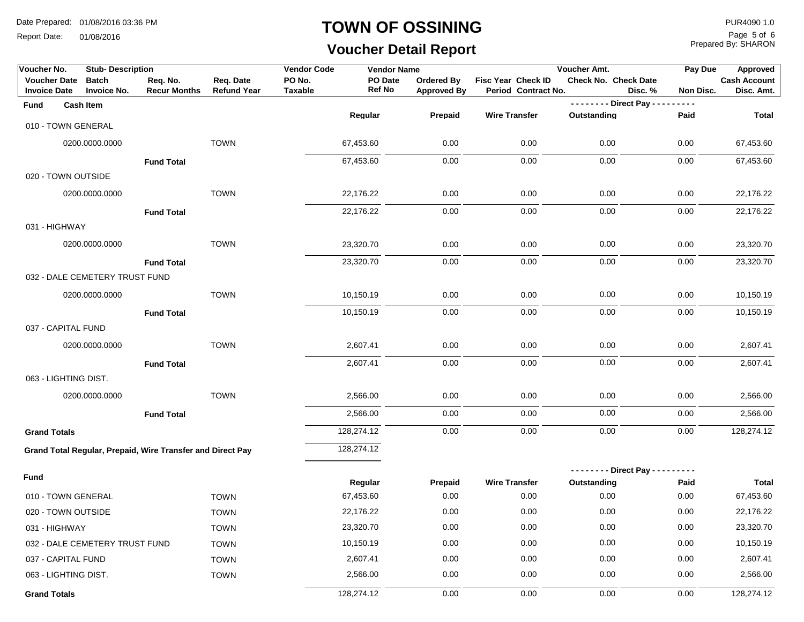Report Date: 01/08/2016

#### **TOWN OF OSSINING**

## **Voucher Detail Report**

Prepared By: SHARON Page 5 of 6

| Voucher No.                                | <b>Stub-Description</b>            |                                                            |                                 | <b>Vendor Code</b>       | <b>Vendor Name</b> |                                  |                                           | Voucher Amt.                    | Pay Due       | Approved                          |
|--------------------------------------------|------------------------------------|------------------------------------------------------------|---------------------------------|--------------------------|--------------------|----------------------------------|-------------------------------------------|---------------------------------|---------------|-----------------------------------|
| <b>Voucher Date</b><br><b>Invoice Date</b> | <b>Batch</b><br><b>Invoice No.</b> | Req. No.<br><b>Recur Months</b>                            | Req. Date<br><b>Refund Year</b> | PO No.<br><b>Taxable</b> | PO Date<br>Ref No  | Ordered By<br><b>Approved By</b> | Fisc Year Check ID<br>Period Contract No. | Check No. Check Date<br>Disc. % | Non Disc.     | <b>Cash Account</b><br>Disc. Amt. |
| Fund                                       | <b>Cash Item</b>                   |                                                            |                                 |                          |                    |                                  |                                           | -------- Direct Pay ---         | $\frac{1}{2}$ |                                   |
| 010 - TOWN GENERAL                         |                                    |                                                            |                                 |                          | Regular            | Prepaid                          | <b>Wire Transfer</b>                      | Outstanding                     | Paid          | Total                             |
|                                            | 0200.0000.0000                     |                                                            | <b>TOWN</b>                     |                          | 67,453.60          | 0.00                             | 0.00                                      | 0.00                            | 0.00          | 67,453.60                         |
|                                            |                                    | <b>Fund Total</b>                                          |                                 |                          | 67,453.60          | 0.00                             | 0.00                                      | 0.00                            | 0.00          | 67,453.60                         |
| 020 - TOWN OUTSIDE                         |                                    |                                                            |                                 |                          |                    |                                  |                                           |                                 |               |                                   |
|                                            | 0200.0000.0000                     |                                                            | <b>TOWN</b>                     |                          | 22,176.22          | 0.00                             | 0.00                                      | 0.00                            | 0.00          | 22,176.22                         |
|                                            |                                    | <b>Fund Total</b>                                          |                                 |                          | 22,176.22          | 0.00                             | 0.00                                      | 0.00                            | 0.00          | 22,176.22                         |
| 031 - HIGHWAY                              |                                    |                                                            |                                 |                          |                    |                                  |                                           |                                 |               |                                   |
|                                            | 0200.0000.0000                     |                                                            | <b>TOWN</b>                     |                          | 23,320.70          | 0.00                             | 0.00                                      | 0.00                            | 0.00          | 23,320.70                         |
|                                            |                                    | <b>Fund Total</b>                                          |                                 |                          | 23,320.70          | 0.00                             | 0.00                                      | 0.00                            | 0.00          | 23,320.70                         |
|                                            | 032 - DALE CEMETERY TRUST FUND     |                                                            |                                 |                          |                    |                                  |                                           |                                 |               |                                   |
|                                            | 0200.0000.0000                     |                                                            | <b>TOWN</b>                     |                          | 10,150.19          | 0.00                             | 0.00                                      | 0.00                            | 0.00          | 10,150.19                         |
|                                            |                                    | <b>Fund Total</b>                                          |                                 |                          | 10,150.19          | 0.00                             | 0.00                                      | 0.00                            | 0.00          | 10,150.19                         |
| 037 - CAPITAL FUND                         |                                    |                                                            |                                 |                          |                    |                                  |                                           |                                 |               |                                   |
|                                            | 0200.0000.0000                     |                                                            | <b>TOWN</b>                     |                          | 2,607.41           | 0.00                             | 0.00                                      | 0.00                            | 0.00          | 2,607.41                          |
|                                            |                                    | <b>Fund Total</b>                                          |                                 |                          | 2,607.41           | 0.00                             | 0.00                                      | 0.00                            | 0.00          | 2,607.41                          |
| 063 - LIGHTING DIST.                       |                                    |                                                            |                                 |                          |                    |                                  |                                           |                                 |               |                                   |
|                                            | 0200.0000.0000                     |                                                            | <b>TOWN</b>                     |                          | 2,566.00           | 0.00                             | 0.00                                      | 0.00                            | 0.00          | 2,566.00                          |
|                                            |                                    | <b>Fund Total</b>                                          |                                 |                          | 2,566.00           | 0.00                             | 0.00                                      | 0.00                            | 0.00          | 2,566.00                          |
| <b>Grand Totals</b>                        |                                    |                                                            |                                 |                          | 128,274.12         | 0.00                             | 0.00                                      | 0.00                            | 0.00          | 128,274.12                        |
|                                            |                                    | Grand Total Regular, Prepaid, Wire Transfer and Direct Pay |                                 |                          | 128,274.12         |                                  |                                           |                                 |               |                                   |
|                                            |                                    |                                                            |                                 |                          |                    |                                  |                                           | -------- Direct Pay ---------   |               |                                   |
| Fund                                       |                                    |                                                            |                                 |                          | Regular            | Prepaid                          | <b>Wire Transfer</b>                      | Outstanding                     | Paid          | Total                             |
| 010 - TOWN GENERAL                         |                                    |                                                            | <b>TOWN</b>                     |                          | 67,453.60          | 0.00                             | 0.00                                      | 0.00                            | 0.00          | 67,453.60                         |
| 020 - TOWN OUTSIDE                         |                                    |                                                            | <b>TOWN</b>                     |                          | 22,176.22          | 0.00                             | 0.00                                      | 0.00                            | 0.00          | 22,176.22                         |
| 031 - HIGHWAY                              |                                    |                                                            | <b>TOWN</b>                     |                          | 23,320.70          | 0.00                             | 0.00                                      | 0.00                            | 0.00          | 23,320.70                         |
|                                            | 032 - DALE CEMETERY TRUST FUND     |                                                            | <b>TOWN</b>                     |                          | 10,150.19          | 0.00                             | 0.00                                      | 0.00                            | 0.00          | 10,150.19                         |
| 037 - CAPITAL FUND                         |                                    |                                                            | <b>TOWN</b>                     |                          | 2,607.41           | 0.00                             | 0.00                                      | 0.00                            | 0.00          | 2,607.41                          |
| 063 - LIGHTING DIST.                       |                                    |                                                            | <b>TOWN</b>                     |                          | 2,566.00           | 0.00                             | 0.00                                      | 0.00                            | 0.00          | 2,566.00                          |
| <b>Grand Totals</b>                        |                                    |                                                            |                                 |                          | 128,274.12         | 0.00                             | 0.00                                      | 0.00                            | 0.00          | 128,274.12                        |